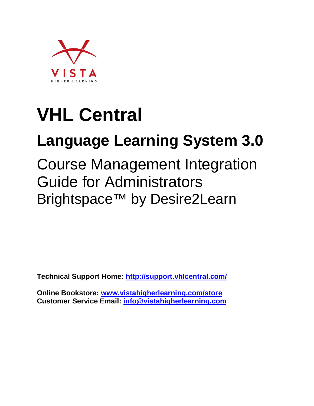

# **VHL Central**

# **Language Learning System 3.0**

Course Management Integration Guide for Administrators Brightspace<sup>™</sup> by Desire2Learn

**Technical Support Home:<http://support.vhlcentral.com/>**

**Online Bookstore: [www.vistahigherlearning.com/store](http://www.vistahigherlearning.com/store)  Customer Service Email: [info@vistahigherlearning.com](mailto:info@vistahigherlearning.com)**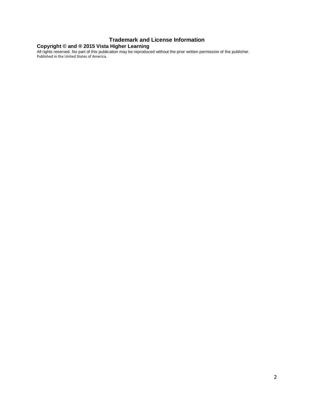### **Trademark and License Information**

#### **Copyright © and ® 2015 Vista Higher Learning**

All rights reserved. No part of this publication may be reproduced without the prior written permission of the publisher. Published in the United States of America.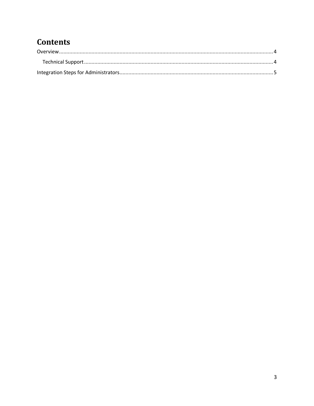# **Contents**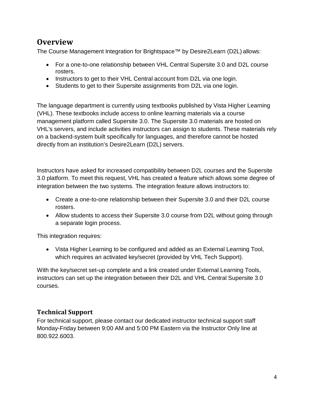## <span id="page-3-0"></span>**Overview**

The Course Management Integration for Brightspace™ by Desire2Learn (D2L) allows:

- For a one-to-one relationship between VHL Central Supersite 3.0 and D2L course rosters.
- Instructors to get to their VHL Central account from D2L via one login.
- Students to get to their Supersite assignments from D2L via one login.

The language department is currently using textbooks published by Vista Higher Learning (VHL). These textbooks include access to online learning materials via a course management platform called Supersite 3.0. The Supersite 3.0 materials are hosted on VHL's servers, and include activities instructors can assign to students. These materials rely on a backend-system built specifically for languages, and therefore cannot be hosted directly from an institution's Desire2Learn (D2L) servers.

Instructors have asked for increased compatibility between D2L courses and the Supersite 3.0 platform. To meet this request, VHL has created a feature which allows some degree of integration between the two systems. The integration feature allows instructors to:

- Create a one-to-one relationship between their Supersite 3.0 and their D2L course rosters.
- Allow students to access their Supersite 3.0 course from D2L without going through a separate login process.

This integration requires:

• Vista Higher Learning to be configured and added as an External Learning Tool, which requires an activated key/secret (provided by VHL Tech Support).

With the key/secret set-up complete and a link created under External Learning Tools, instructors can set up the integration between their D2L and VHL Central Supersite 3.0 courses.

### <span id="page-3-1"></span>**Technical Support**

For technical support, please contact our dedicated instructor technical support staff Monday-Friday between 9:00 AM and 5:00 PM Eastern via the Instructor Only line at 800.922.6003.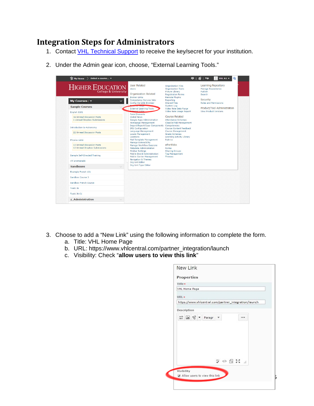## <span id="page-4-0"></span>**Integration Steps for Administrators**

- 1. Contact [VHL Technical Support](#page-3-1) to receive the key/secret for your institution.
- 2. Under the Admin gear icon, choose, "External Learning Tools."

| 13 Unread Dropbox Submissions<br>Metadata Administration<br>Forms<br>Minibar Settings<br><b>Sharing Groups</b><br><b>Mobile Brand Administration</b><br><b>Tag Management</b><br>Sample Self-Directed Training<br><b>Mobile Carrier Management</b><br><b>Themes</b><br><b>Navigation &amp; Themes</b><br>vhl promanade<br>Org Unit Editor<br>Org Unit Type Editor<br><b>Sandboxes</b><br>$\checkmark$<br>Example French 101<br>Sandbox Course 3<br>Sandbox French Course<br>Test1 JN<br>Test1 IN C1 | <b>X</b> My Home<br>Select a course v<br><b>HIGHER EDUCATION</b><br>My Courses $\vert \triangledown$<br>$\checkmark$<br><b>Sample Courses</b><br>English 1101<br>34 Unread Discussion Posts<br>1 Unread Dropbox Submissions<br><b>Introduction to Astronomy</b><br>22 Unread Discussion Posts<br>Physics 1202<br>13 Unread Discussion Posts | <b>User Related</b><br>Users<br><b>Organization Related</b><br><b>Broken Links</b><br><b>Competency Service Jobs</b><br>Config Variable Browser<br><b>External Learning Tools</b><br>Form Flements<br>Global News<br>Google Apps Administration<br><b>Homepage Management</b><br>Import/Export/Copy Components Competencies<br><b>IMS</b> Configuration<br>Language Management<br><b>Locale Management</b><br>Locations<br><b>Mail Template Management</b><br><b>Manage Extensibility</b><br>Manage Workflow Sessions | <b>Organization Files</b><br><b>Organization Tools</b><br><b>Picture Library</b><br><b>Registration Forms</b><br><b>Remote Plugins</b><br>Reporting<br><b>Shared Files</b><br>System Log<br>Video Note Data Purge<br>Video Note Usage Report<br>Course Related<br><b>Attendance Schemes</b><br><b>Classlist Tab Management</b><br>Course Content Feedback<br><b>Course Management</b><br><b>Grade Schemes</b><br>Learning Activity Library<br><b>Rubrics</b><br>ePortfolio | ◚▏▓▏▚●<br>VHL A1 $\star$<br><b>Learning Repository</b><br><b>Manage Repositories</b><br>Publish<br>Search<br>Security<br><b>Roles and Permissions</b><br>Product/Tool Administration<br><b>View Product Versions</b> |
|-----------------------------------------------------------------------------------------------------------------------------------------------------------------------------------------------------------------------------------------------------------------------------------------------------------------------------------------------------------------------------------------------------------------------------------------------------------------------------------------------------|---------------------------------------------------------------------------------------------------------------------------------------------------------------------------------------------------------------------------------------------------------------------------------------------------------------------------------------------|-----------------------------------------------------------------------------------------------------------------------------------------------------------------------------------------------------------------------------------------------------------------------------------------------------------------------------------------------------------------------------------------------------------------------------------------------------------------------------------------------------------------------|----------------------------------------------------------------------------------------------------------------------------------------------------------------------------------------------------------------------------------------------------------------------------------------------------------------------------------------------------------------------------------------------------------------------------------------------------------------------------|----------------------------------------------------------------------------------------------------------------------------------------------------------------------------------------------------------------------|
|                                                                                                                                                                                                                                                                                                                                                                                                                                                                                                     |                                                                                                                                                                                                                                                                                                                                             |                                                                                                                                                                                                                                                                                                                                                                                                                                                                                                                       |                                                                                                                                                                                                                                                                                                                                                                                                                                                                            |                                                                                                                                                                                                                      |
|                                                                                                                                                                                                                                                                                                                                                                                                                                                                                                     |                                                                                                                                                                                                                                                                                                                                             |                                                                                                                                                                                                                                                                                                                                                                                                                                                                                                                       |                                                                                                                                                                                                                                                                                                                                                                                                                                                                            |                                                                                                                                                                                                                      |
|                                                                                                                                                                                                                                                                                                                                                                                                                                                                                                     |                                                                                                                                                                                                                                                                                                                                             |                                                                                                                                                                                                                                                                                                                                                                                                                                                                                                                       |                                                                                                                                                                                                                                                                                                                                                                                                                                                                            |                                                                                                                                                                                                                      |
|                                                                                                                                                                                                                                                                                                                                                                                                                                                                                                     |                                                                                                                                                                                                                                                                                                                                             |                                                                                                                                                                                                                                                                                                                                                                                                                                                                                                                       |                                                                                                                                                                                                                                                                                                                                                                                                                                                                            |                                                                                                                                                                                                                      |
|                                                                                                                                                                                                                                                                                                                                                                                                                                                                                                     |                                                                                                                                                                                                                                                                                                                                             |                                                                                                                                                                                                                                                                                                                                                                                                                                                                                                                       |                                                                                                                                                                                                                                                                                                                                                                                                                                                                            |                                                                                                                                                                                                                      |
|                                                                                                                                                                                                                                                                                                                                                                                                                                                                                                     |                                                                                                                                                                                                                                                                                                                                             |                                                                                                                                                                                                                                                                                                                                                                                                                                                                                                                       |                                                                                                                                                                                                                                                                                                                                                                                                                                                                            |                                                                                                                                                                                                                      |

- 3. Choose to add a "New Link" using the following information to complete the form.
	- a. Title: VHL Home Page
	- b. URL: https://www.vhlcentral.com/partner\_integration/launch
	- c. Visibility: Check "**allow users to view this link**"

| VHL Home Page                                         |  |
|-------------------------------------------------------|--|
|                                                       |  |
| URL *                                                 |  |
| https://www.vhlcentral.com/partner_integration/launch |  |
| Description                                           |  |
| hil <u>Ma</u> % ▼ Paragr<br>                          |  |
|                                                       |  |
|                                                       |  |
|                                                       |  |
|                                                       |  |
| ◎ ◆ ◎話 』                                              |  |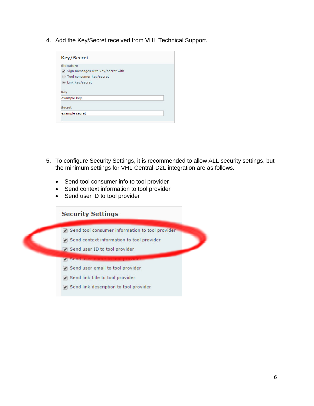4. Add the Key/Secret received from VHL Technical Support.

| <b>Signature</b>                    |  |
|-------------------------------------|--|
| Sign messages with key/secret with  |  |
| Tool consumer key/secret<br>$\circ$ |  |
| Link key/secret                     |  |
|                                     |  |
|                                     |  |
| <b>Key</b>                          |  |
| example key                         |  |
|                                     |  |
| <b>Secret</b>                       |  |

- 5. To configure Security Settings, it is recommended to allow ALL security settings, but the minimum settings for VHL Central-D2L integration are as follows.
	- Send tool consumer info to tool provider
	- Send context information to tool provider
	- Send user ID to tool provider